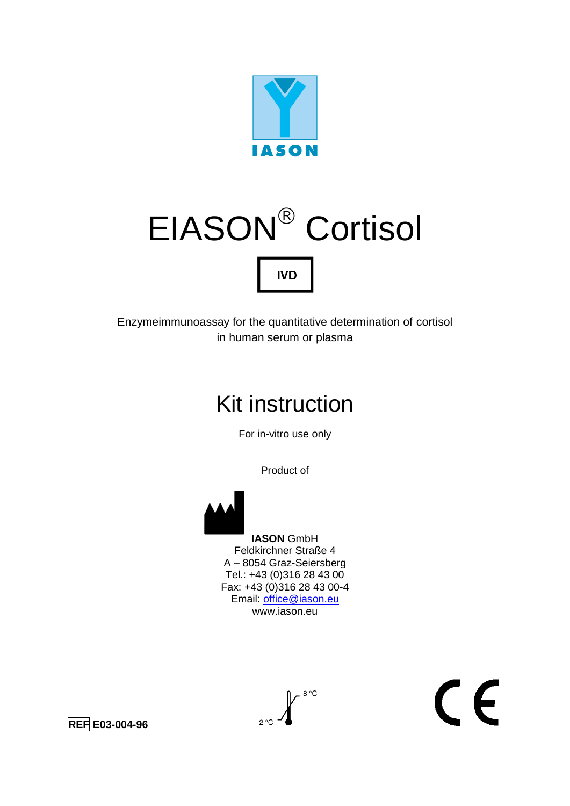

# EIASON<sup>®</sup> Cortisol **IVD**

Enzymeimmunoassay for the quantitative determination of cortisol in human serum or plasma

## Kit instruction

For in-vitro use only

Product of

 **IASON** GmbH Feldkirchner Straße 4 A – 8054 Graz-Seiersberg Tel.: +43 (0)316 28 43 00 Fax: +43 (0)316 28 43 00-4 Email: [office@iason.eu](mailto:office@iason.eu) www.iason.eu

 $\int_{2^{\circ}\mathbb{C}}\int_{0}^{8^{\circ}\mathbb{C}}$ 

 $\epsilon$ 

**REF E03-004-96**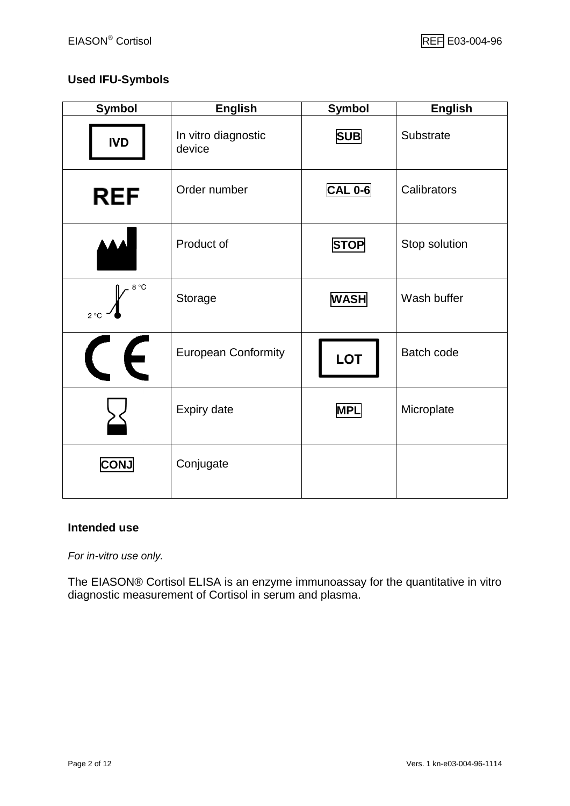#### **Used IFU-Symbols**

| <b>Symbol</b>            | <b>English</b>                | <b>Symbol</b>  | <b>English</b> |
|--------------------------|-------------------------------|----------------|----------------|
| <b>IVD</b>               | In vitro diagnostic<br>device | <b>SUB</b>     | Substrate      |
| <b>REF</b>               | Order number                  | <b>CAL 0-6</b> | Calibrators    |
|                          | Product of                    | <b>STOP</b>    | Stop solution  |
| $8 °C$<br>$2^{\circ}C$   | Storage                       | <b>WASH</b>    | Wash buffer    |
| $\epsilon$<br>$\sqrt{1}$ | <b>European Conformity</b>    | <b>LOT</b>     | Batch code     |
|                          | <b>Expiry date</b>            | <b>MPL</b>     | Microplate     |
| <b>CONJ</b>              | Conjugate                     |                |                |

#### **Intended use**

*For in-vitro use only.*

The EIASON® Cortisol ELISA is an enzyme immunoassay for the quantitative in vitro diagnostic measurement of Cortisol in serum and plasma.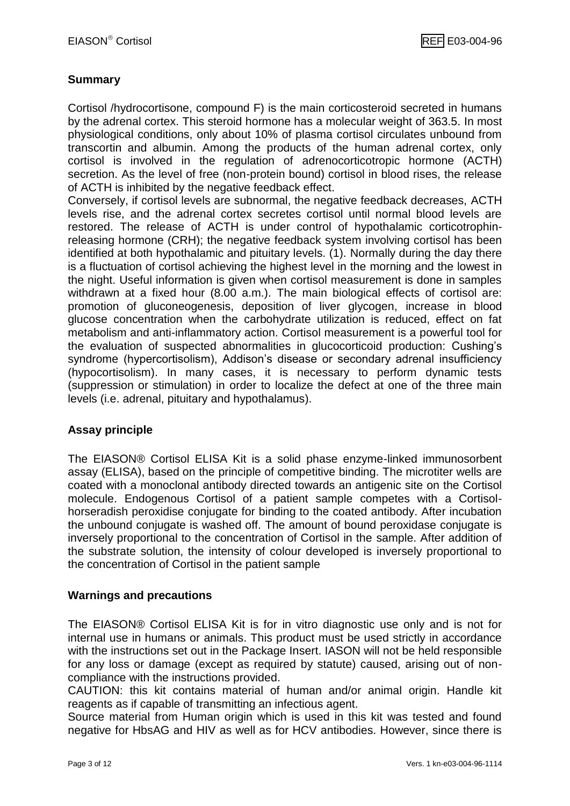#### **Summary**

Cortisol /hydrocortisone, compound F) is the main corticosteroid secreted in humans by the adrenal cortex. This steroid hormone has a molecular weight of 363.5. In most physiological conditions, only about 10% of plasma cortisol circulates unbound from transcortin and albumin. Among the products of the human adrenal cortex, only cortisol is involved in the regulation of adrenocorticotropic hormone (ACTH) secretion. As the level of free (non-protein bound) cortisol in blood rises, the release of ACTH is inhibited by the negative feedback effect.

Conversely, if cortisol levels are subnormal, the negative feedback decreases, ACTH levels rise, and the adrenal cortex secretes cortisol until normal blood levels are restored. The release of ACTH is under control of hypothalamic corticotrophinreleasing hormone (CRH); the negative feedback system involving cortisol has been identified at both hypothalamic and pituitary levels. (1). Normally during the day there is a fluctuation of cortisol achieving the highest level in the morning and the lowest in the night. Useful information is given when cortisol measurement is done in samples withdrawn at a fixed hour (8.00 a.m.). The main biological effects of cortisol are: promotion of gluconeogenesis, deposition of liver glycogen, increase in blood glucose concentration when the carbohydrate utilization is reduced, effect on fat metabolism and anti-inflammatory action. Cortisol measurement is a powerful tool for the evaluation of suspected abnormalities in glucocorticoid production: Cushing's syndrome (hypercortisolism), Addison's disease or secondary adrenal insufficiency (hypocortisolism). In many cases, it is necessary to perform dynamic tests (suppression or stimulation) in order to localize the defect at one of the three main levels (i.e. adrenal, pituitary and hypothalamus).

#### **Assay principle**

The EIASON® Cortisol ELISA Kit is a solid phase enzyme-linked immunosorbent assay (ELISA), based on the principle of competitive binding. The microtiter wells are coated with a monoclonal antibody directed towards an antigenic site on the Cortisol molecule. Endogenous Cortisol of a patient sample competes with a Cortisolhorseradish peroxidise conjugate for binding to the coated antibody. After incubation the unbound conjugate is washed off. The amount of bound peroxidase conjugate is inversely proportional to the concentration of Cortisol in the sample. After addition of the substrate solution, the intensity of colour developed is inversely proportional to the concentration of Cortisol in the patient sample

#### **Warnings and precautions**

The EIASON® Cortisol ELISA Kit is for in vitro diagnostic use only and is not for internal use in humans or animals. This product must be used strictly in accordance with the instructions set out in the Package Insert. IASON will not be held responsible for any loss or damage (except as required by statute) caused, arising out of noncompliance with the instructions provided.

CAUTION: this kit contains material of human and/or animal origin. Handle kit reagents as if capable of transmitting an infectious agent.

Source material from Human origin which is used in this kit was tested and found negative for HbsAG and HIV as well as for HCV antibodies. However, since there is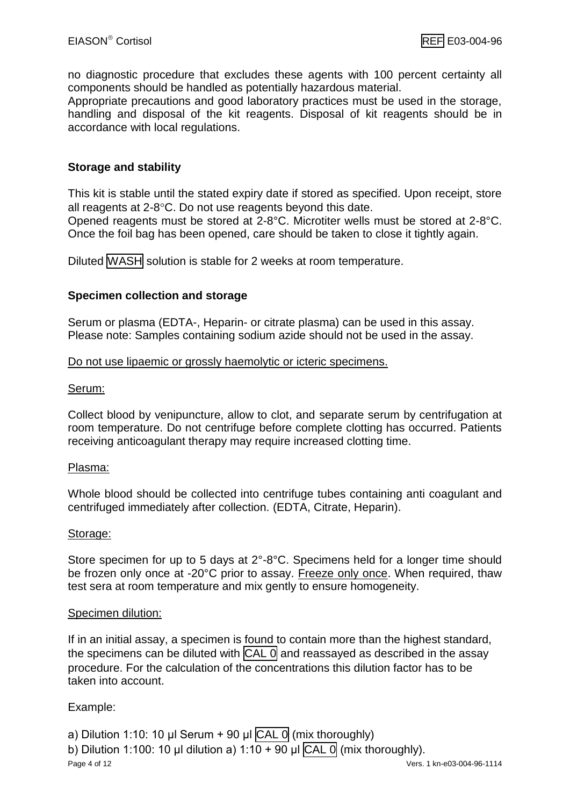no diagnostic procedure that excludes these agents with 100 percent certainty all components should be handled as potentially hazardous material.

Appropriate precautions and good laboratory practices must be used in the storage, handling and disposal of the kit reagents. Disposal of kit reagents should be in accordance with local regulations.

#### **Storage and stability**

This kit is stable until the stated expiry date if stored as specified. Upon receipt, store all reagents at  $2-8$ °C. Do not use reagents beyond this date.

Opened reagents must be stored at 2-8°C. Microtiter wells must be stored at 2-8°C. Once the foil bag has been opened, care should be taken to close it tightly again.

Diluted WASH solution is stable for 2 weeks at room temperature.

#### **Specimen collection and storage**

Serum or plasma (EDTA-, Heparin- or citrate plasma) can be used in this assay. Please note: Samples containing sodium azide should not be used in the assay.

#### Do not use lipaemic or grossly haemolytic or icteric specimens.

#### Serum:

Collect blood by venipuncture, allow to clot, and separate serum by centrifugation at room temperature. Do not centrifuge before complete clotting has occurred. Patients receiving anticoagulant therapy may require increased clotting time.

#### Plasma:

Whole blood should be collected into centrifuge tubes containing anti coagulant and centrifuged immediately after collection. (EDTA, Citrate, Heparin).

#### Storage:

Store specimen for up to 5 days at 2°-8°C. Specimens held for a longer time should be frozen only once at -20°C prior to assay. Freeze only once. When required, thaw test sera at room temperature and mix gently to ensure homogeneity.

#### Specimen dilution:

If in an initial assay, a specimen is found to contain more than the highest standard, the specimens can be diluted with  $\overline{CAL}$  0 and reassayed as described in the assay procedure. For the calculation of the concentrations this dilution factor has to be taken into account.

#### Example:

Page 4 of 12 Vers. 1 kn-e03-004-96-1114 a) Dilution 1:10: 10 μl Serum + 90 μl  $\text{CAL }$  0 (mix thoroughly) b) Dilution 1:100: 10 μl dilution a) 1:10 + 90 μl  $\overline{CAL}$  0 (mix thoroughly).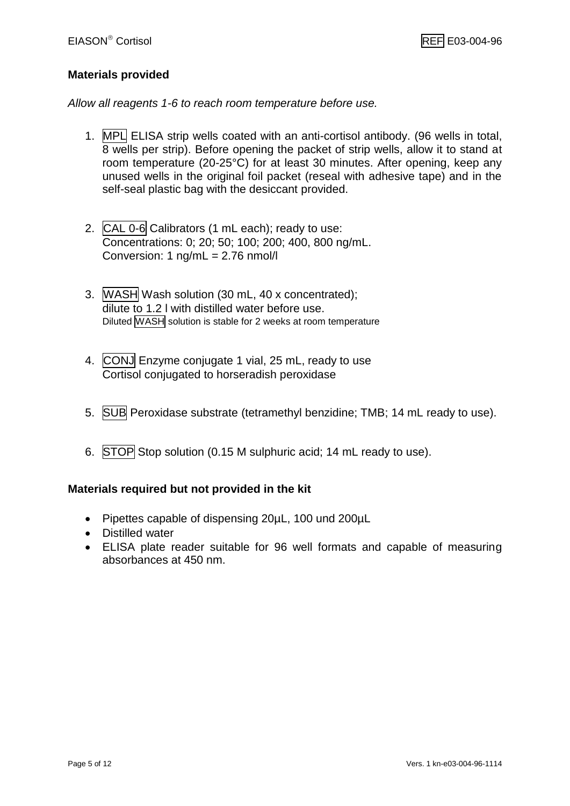#### **Materials provided**

*Allow all reagents 1-6 to reach room temperature before use.*

- 1. MPL ELISA strip wells coated with an anti-cortisol antibody. (96 wells in total, 8 wells per strip). Before opening the packet of strip wells, allow it to stand at room temperature (20-25°C) for at least 30 minutes. After opening, keep any unused wells in the original foil packet (reseal with adhesive tape) and in the self-seal plastic bag with the desiccant provided.
- 2. CAL 0-6 Calibrators (1 mL each); ready to use: Concentrations: 0; 20; 50; 100; 200; 400, 800 ng/mL. Conversion: 1 ng/mL = 2.76 nmol/l
- 3. WASH Wash solution (30 mL, 40 x concentrated); dilute to 1.2 l with distilled water before use. Diluted WASH solution is stable for 2 weeks at room temperature
- 4. CONJ Enzyme conjugate 1 vial, 25 mL, ready to use Cortisol conjugated to horseradish peroxidase
- 5. SUB Peroxidase substrate (tetramethyl benzidine; TMB; 14 mL ready to use).
- 6. STOP Stop solution (0.15 M sulphuric acid; 14 mL ready to use).

#### **Materials required but not provided in the kit**

- Pipettes capable of dispensing 20µL, 100 und 200µL
- Distilled water
- ELISA plate reader suitable for 96 well formats and capable of measuring absorbances at 450 nm.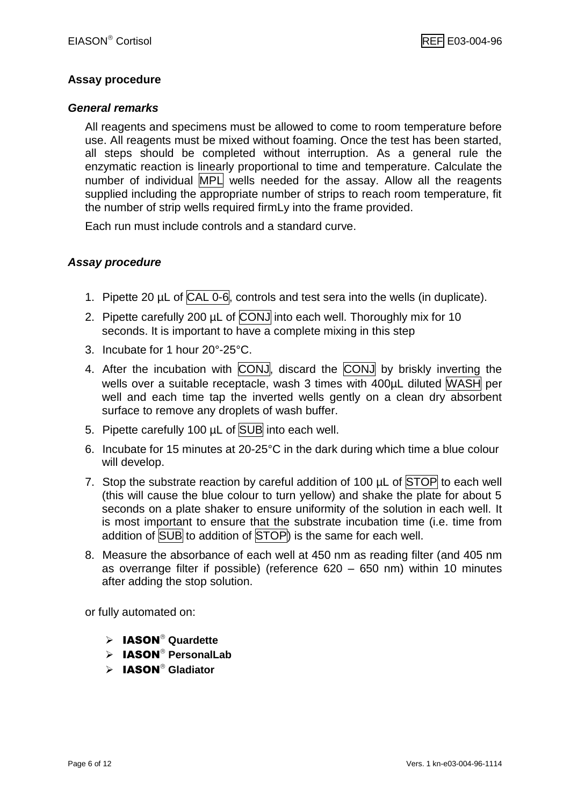#### **Assay procedure**

#### *General remarks*

All reagents and specimens must be allowed to come to room temperature before use. All reagents must be mixed without foaming. Once the test has been started, all steps should be completed without interruption. As a general rule the enzymatic reaction is linearly proportional to time and temperature. Calculate the number of individual MPL wells needed for the assay. Allow all the reagents supplied including the appropriate number of strips to reach room temperature, fit the number of strip wells required firmLy into the frame provided.

Each run must include controls and a standard curve.

#### *Assay procedure*

- 1. Pipette 20 µL of CAL 0-6, controls and test sera into the wells (in duplicate).
- 2. Pipette carefully 200 µL of CONJ into each well. Thoroughly mix for 10 seconds. It is important to have a complete mixing in this step
- 3. Incubate for 1 hour 20°-25°C.
- 4. After the incubation with CONJ, discard the CONJ by briskly inverting the wells over a suitable receptacle, wash 3 times with 400µL diluted WASH per well and each time tap the inverted wells gently on a clean dry absorbent surface to remove any droplets of wash buffer.
- 5. Pipette carefully 100 µL of SUB into each well.
- 6. Incubate for 15 minutes at 20-25°C in the dark during which time a blue colour will develop.
- 7. Stop the substrate reaction by careful addition of 100  $\mu$ L of STOP to each well (this will cause the blue colour to turn yellow) and shake the plate for about 5 seconds on a plate shaker to ensure uniformity of the solution in each well. It is most important to ensure that the substrate incubation time (i.e. time from addition of SUB to addition of STOP) is the same for each well.
- 8. Measure the absorbance of each well at 450 nm as reading filter (and 405 nm as overrange filter if possible) (reference 620 – 650 nm) within 10 minutes after adding the stop solution.

or fully automated on:

- $\triangleright$  **IASON**<sup>®</sup> Quardette
- > IASON<sup>®</sup> PersonalLab
- IASON **Gladiator**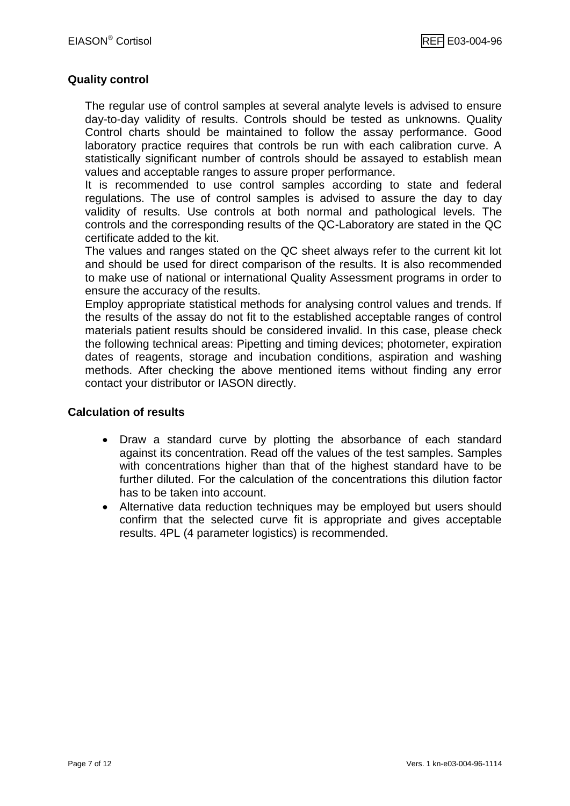#### **Quality control**

The regular use of control samples at several analyte levels is advised to ensure day-to-day validity of results. Controls should be tested as unknowns. Quality Control charts should be maintained to follow the assay performance. Good laboratory practice requires that controls be run with each calibration curve. A statistically significant number of controls should be assayed to establish mean values and acceptable ranges to assure proper performance.

It is recommended to use control samples according to state and federal regulations. The use of control samples is advised to assure the day to day validity of results. Use controls at both normal and pathological levels. The controls and the corresponding results of the QC-Laboratory are stated in the QC certificate added to the kit.

The values and ranges stated on the QC sheet always refer to the current kit lot and should be used for direct comparison of the results. It is also recommended to make use of national or international Quality Assessment programs in order to ensure the accuracy of the results.

Employ appropriate statistical methods for analysing control values and trends. If the results of the assay do not fit to the established acceptable ranges of control materials patient results should be considered invalid. In this case, please check the following technical areas: Pipetting and timing devices; photometer, expiration dates of reagents, storage and incubation conditions, aspiration and washing methods. After checking the above mentioned items without finding any error contact your distributor or IASON directly.

#### **Calculation of results**

- Draw a standard curve by plotting the absorbance of each standard against its concentration. Read off the values of the test samples. Samples with concentrations higher than that of the highest standard have to be further diluted. For the calculation of the concentrations this dilution factor has to be taken into account.
- Alternative data reduction techniques may be employed but users should confirm that the selected curve fit is appropriate and gives acceptable results. 4PL (4 parameter logistics) is recommended.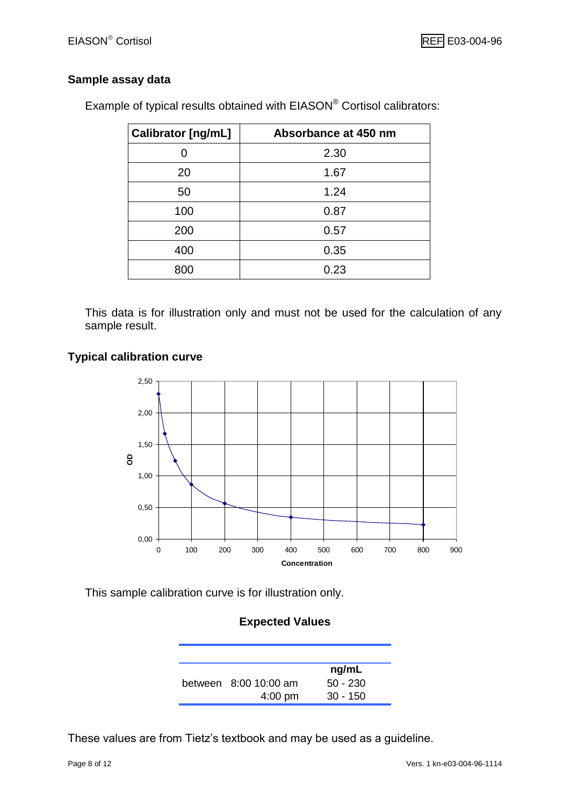#### **Sample assay data**

|  |  |  |  | Example of typical results obtained with EIASON® Cortisol calibrators. |
|--|--|--|--|------------------------------------------------------------------------|
|  |  |  |  |                                                                        |

| Calibrator [ng/mL] | Absorbance at 450 nm |
|--------------------|----------------------|
|                    | 2.30                 |
| 20                 | 1.67                 |
| 50                 | 1.24                 |
| 100                | 0.87                 |
| 200                | 0.57                 |
| 400                | 0.35                 |
| 800                | 0.23                 |

This data is for illustration only and must not be used for the calculation of any sample result.

#### **Typical calibration curve**



This sample calibration curve is for illustration only.

#### **Expected Values**

|                         | ng/mL      |
|-------------------------|------------|
| between $8:00,10:00$ am | $50 - 230$ |
| $4:00$ pm               | $30 - 150$ |

These values are from Tietz's textbook and may be used as a guideline.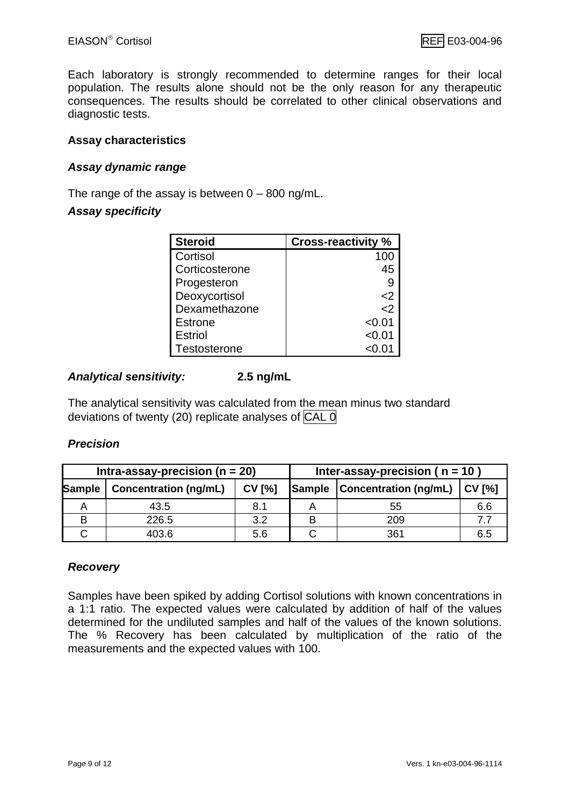Each laboratory is strongly recommended to determine ranges for their local population. The results alone should not be the only reason for any therapeutic consequences. The results should be correlated to other clinical observations and diagnostic tests.

#### **Assay characteristics**

#### *Assay dynamic range*

The range of the assay is between  $0 - 800$  ng/mL.

#### *Assay specificity*

| <b>Steroid</b> | <b>Cross-reactivity %</b> |
|----------------|---------------------------|
| Cortisol       | 100                       |
| Corticosterone | 45                        |
| Progesteron    | 9                         |
| Deoxycortisol  | $\leq$ 2                  |
| Dexamethazone  | $\mathsf{<}2$             |
| <b>Estrone</b> | < 0.01                    |
| <b>Estriol</b> | < 0.01                    |
| Testosterone   | < 0.01                    |

#### *Analytical sensitivity:* **2.5 ng/mL**

The analytical sensitivity was calculated from the mean minus two standard deviations of twenty (20) replicate analyses of CAL 0

#### *Precision*

| Intra-assay-precision ( $n = 20$ ) |                              |               | Inter-assay-precision ( $n = 10$ ) |                                                |     |
|------------------------------------|------------------------------|---------------|------------------------------------|------------------------------------------------|-----|
| Sample                             | <b>Concentration (ng/mL)</b> | <b>CV [%]</b> |                                    | <b>Sample   Concentration (ng/mL)   CV [%]</b> |     |
|                                    | 43.5                         | 8.1           |                                    | 55                                             | 6.6 |
|                                    | 226.5                        | っっ            |                                    | 209                                            |     |
|                                    | 403.6                        | 5.6           |                                    | 361                                            | 6.5 |

#### *Recovery*

Samples have been spiked by adding Cortisol solutions with known concentrations in a 1:1 ratio. The expected values were calculated by addition of half of the values determined for the undiluted samples and half of the values of the known solutions. The % Recovery has been calculated by multiplication of the ratio of the measurements and the expected values with 100.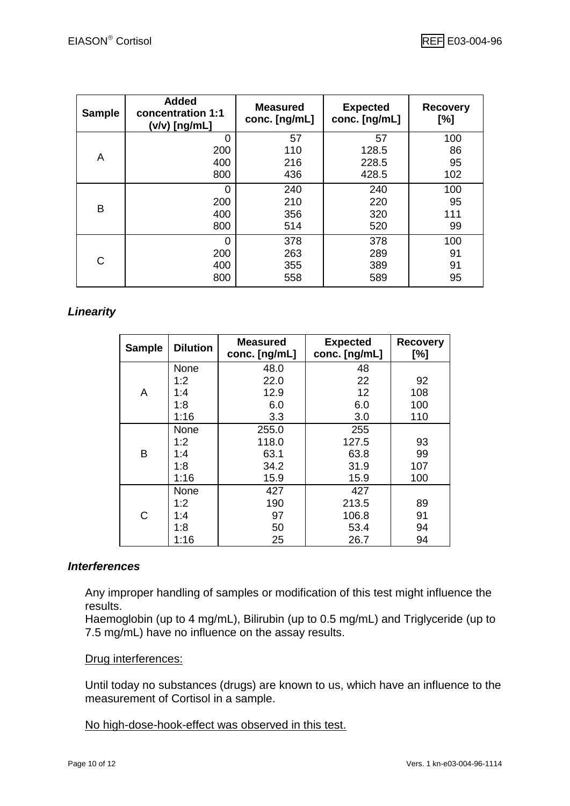| <b>Sample</b> | <b>Added</b><br>concentration 1:1<br>(v/v) [ng/mL] | <b>Measured</b><br>conc. [ng/mL] | <b>Expected</b><br>conc. [ng/mL] | <b>Recovery</b><br>[%] |
|---------------|----------------------------------------------------|----------------------------------|----------------------------------|------------------------|
|               | 0                                                  | 57                               | 57                               | 100                    |
|               | 200                                                | 110                              | 128.5                            | 86                     |
| A             | 400                                                | 216                              | 228.5                            | 95                     |
|               | 800                                                | 436                              | 428.5                            | 102                    |
|               | 0                                                  | 240                              | 240                              | 100                    |
|               | 200                                                | 210                              | 220                              | 95                     |
| B             | 400                                                | 356                              | 320                              | 111                    |
|               | 800                                                | 514                              | 520                              | 99                     |
|               | 0                                                  | 378                              | 378                              | 100                    |
|               | 200                                                | 263                              | 289                              | 91                     |
| C             | 400                                                | 355                              | 389                              | 91                     |
|               | 800                                                | 558                              | 589                              | 95                     |

#### *Linearity*

| <b>Sample</b> | <b>Dilution</b> | <b>Measured</b><br>conc. [ng/mL] | <b>Expected</b><br>conc. [ng/mL] | <b>Recovery</b><br>[%] |
|---------------|-----------------|----------------------------------|----------------------------------|------------------------|
|               | None            | 48.0                             | 48                               |                        |
|               | 1:2             | 22.0                             | 22                               | 92                     |
| Α             | 1:4             | 12.9                             | 12                               | 108                    |
|               | 1:8             | 6.0                              | 6.0                              | 100                    |
|               | 1:16            | 3.3                              | 3.0                              | 110                    |
|               | None            | 255.0                            | 255                              |                        |
|               | 1:2             | 118.0                            | 127.5                            | 93                     |
| B             | 1:4             | 63.1                             | 63.8                             | 99                     |
|               | 1:8             | 34.2                             | 31.9                             | 107                    |
|               | 1:16            | 15.9                             | 15.9                             | 100                    |
|               | None            | 427                              | 427                              |                        |
|               | 1:2             | 190                              | 213.5                            | 89                     |
| C             | 1:4             | 97                               | 106.8                            | 91                     |
|               | 1:8             | 50                               | 53.4                             | 94                     |
|               | 1:16            | 25                               | 26.7                             | 94                     |

#### *Interferences*

Any improper handling of samples or modification of this test might influence the results.

Haemoglobin (up to 4 mg/mL), Bilirubin (up to 0.5 mg/mL) and Triglyceride (up to 7.5 mg/mL) have no influence on the assay results.

#### Drug interferences:

Until today no substances (drugs) are known to us, which have an influence to the measurement of Cortisol in a sample.

No high-dose-hook-effect was observed in this test.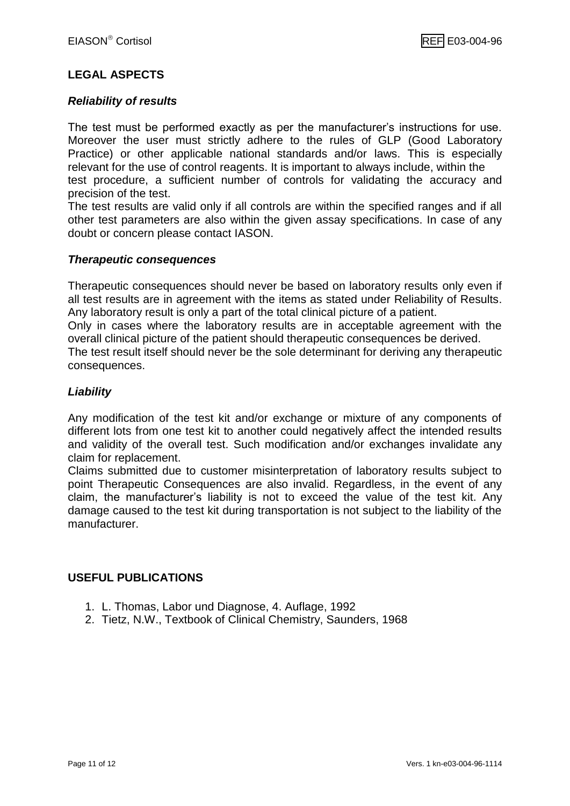#### **LEGAL ASPECTS**

#### *Reliability of results*

The test must be performed exactly as per the manufacturer's instructions for use. Moreover the user must strictly adhere to the rules of GLP (Good Laboratory Practice) or other applicable national standards and/or laws. This is especially relevant for the use of control reagents. It is important to always include, within the test procedure, a sufficient number of controls for validating the accuracy and precision of the test.

The test results are valid only if all controls are within the specified ranges and if all other test parameters are also within the given assay specifications. In case of any doubt or concern please contact IASON.

#### *Therapeutic consequences*

Therapeutic consequences should never be based on laboratory results only even if all test results are in agreement with the items as stated under Reliability of Results. Any laboratory result is only a part of the total clinical picture of a patient.

Only in cases where the laboratory results are in acceptable agreement with the overall clinical picture of the patient should therapeutic consequences be derived.

The test result itself should never be the sole determinant for deriving any therapeutic consequences.

#### *Liability*

Any modification of the test kit and/or exchange or mixture of any components of different lots from one test kit to another could negatively affect the intended results and validity of the overall test. Such modification and/or exchanges invalidate any claim for replacement.

Claims submitted due to customer misinterpretation of laboratory results subject to point Therapeutic Consequences are also invalid. Regardless, in the event of any claim, the manufacturer's liability is not to exceed the value of the test kit. Any damage caused to the test kit during transportation is not subject to the liability of the manufacturer.

#### **USEFUL PUBLICATIONS**

- 1. L. Thomas, Labor und Diagnose, 4. Auflage, 1992
- 2. Tietz, N.W., Textbook of Clinical Chemistry, Saunders, 1968